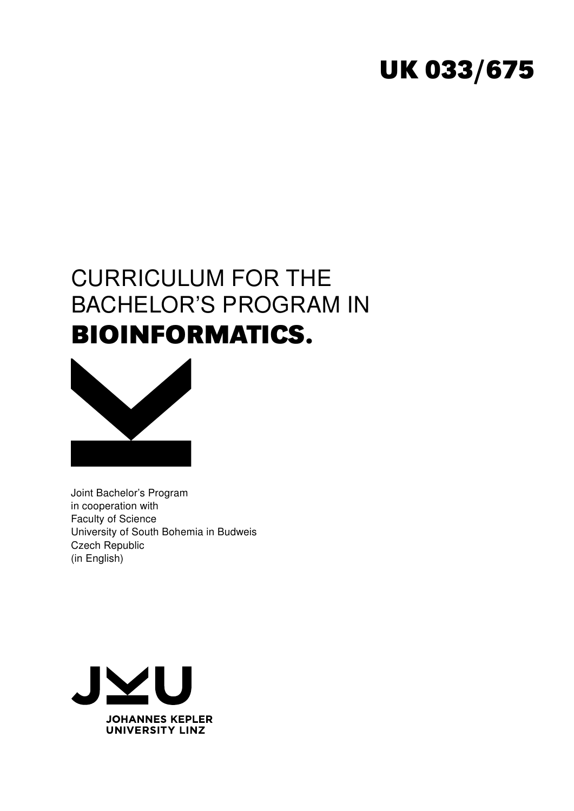# **UK 033/675**

# CURRICULUM FOR THE BACHELOR'S PROGRAM IN **BIOINFORMATICS.**



Joint Bachelor's Program in cooperation with Faculty of Science University of South Bohemia in Budweis Czech Republic (in English)

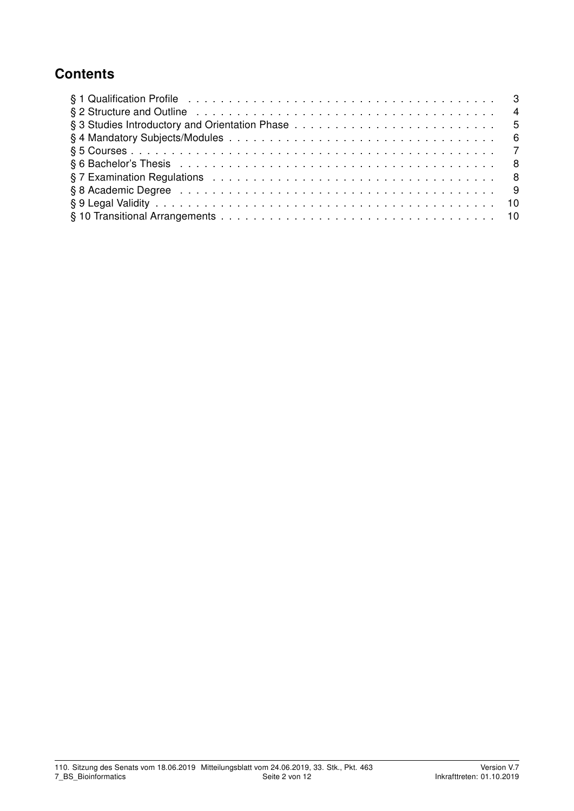# **Contents**

| § 2 Structure and Outline enterpreteration of the contract of the contract of the contract of the contract of the contract of the contract of the contract of the contract of the contract of the contract of the contract of |  |
|-------------------------------------------------------------------------------------------------------------------------------------------------------------------------------------------------------------------------------|--|
|                                                                                                                                                                                                                               |  |
|                                                                                                                                                                                                                               |  |
|                                                                                                                                                                                                                               |  |
|                                                                                                                                                                                                                               |  |
|                                                                                                                                                                                                                               |  |
|                                                                                                                                                                                                                               |  |
|                                                                                                                                                                                                                               |  |
|                                                                                                                                                                                                                               |  |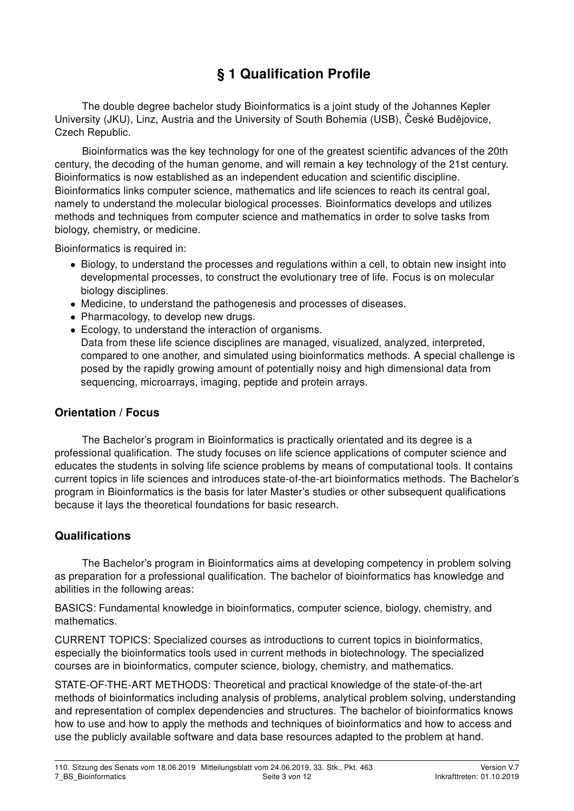# § 1 Qualification Profile

The double degree bachelor study Bioinformatics is a joint study of the Johannes Kepler University (JKU), Linz, Austria and the University of South Bohemia (USB), České Budějovice, Czech Republic.

Bioinformatics was the key technology for one of the greatest scientific advances of the 20th century, the decoding of the human genome, and will remain a key technology of the 21st century. Bioinformatics is now established as an independent education and scientific discipline. Bioinformatics links computer science, mathematics and life sciences to reach its central goal, namely to understand the molecular biological processes. Bioinformatics develops and utilizes methods and techniques from computer science and mathematics in order to solve tasks from biology, chemistry, or medicine.

Bioinformatics is required in:

- Biology, to understand the processes and regulations within a cell, to obtain new insight into developmental processes, to construct the evolutionary tree of life. Focus is on molecular biology disciplines.
- Medicine, to understand the pathogenesis and processes of diseases.
- Pharmacology, to develop new drugs.
- Ecology, to understand the interaction of organisms.

Data from these life science disciplines are managed, visualized, analyzed, interpreted, compared to one another, and simulated using bioinformatics methods. A special challenge is posed by the rapidly growing amount of potentially noisy and high dimensional data from sequencing, microarrays, imaging, peptide and protein arrays.

#### Orientation / Focus

The Bachelor's program in Bioinformatics is practically orientated and its degree is a professional qualification. The study focuses on life science applications of computer science and educates the students in solving life science problems by means of computational tools. It contains current topics in life sciences and introduces state-of-the-art bioinformatics methods. The Bachelor's program in Bioinformatics is the basis for later Master's studies or other subsequent qualifications because it lays the theoretical foundations for basic research.

#### Qualifications

The Bachelor's program in Bioinformatics aims at developing competency in problem solving as preparation for a professional qualification. The bachelor of bioinformatics has knowledge and abilities in the following areas:

BASICS: Fundamental knowledge in bioinformatics, computer science, biology, chemistry, and mathematics.

CURRENT TOPICS: Specialized courses as introductions to current topics in bioinformatics, especially the bioinformatics tools used in current methods in biotechnology. The specialized courses are in bioinformatics, computer science, biology, chemistry, and mathematics.

STATE-OF-THE-ART METHODS: Theoretical and practical knowledge of the state-of-the-art methods of bioinformatics including analysis of problems, analytical problem solving, understanding and representation of complex dependencies and structures. The bachelor of bioinformatics knows how to use and how to apply the methods and techniques of bioinformatics and how to access and use the publicly available software and data base resources adapted to the problem at hand.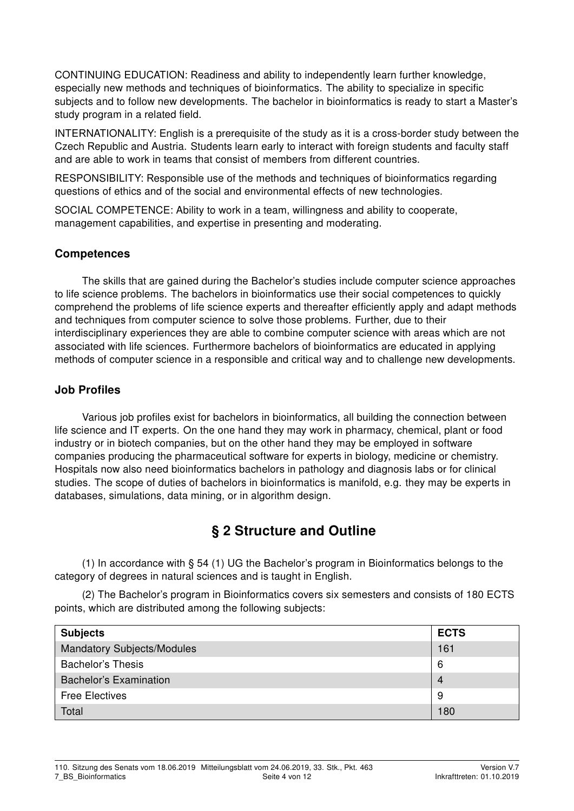CONTINUING EDUCATION: Readiness and ability to independently learn further knowledge, especially new methods and techniques of bioinformatics. The ability to specialize in specific subjects and to follow new developments. The bachelor in bioinformatics is ready to start a Master's study program in a related field.

INTERNATIONALITY: English is a prerequisite of the study as it is a cross-border study between the Czech Republic and Austria. Students learn early to interact with foreign students and faculty staff and are able to work in teams that consist of members from different countries.

RESPONSIBILITY: Responsible use of the methods and techniques of bioinformatics regarding questions of ethics and of the social and environmental effects of new technologies.

SOCIAL COMPETENCE: Ability to work in a team, willingness and ability to cooperate, management capabilities, and expertise in presenting and moderating.

#### **Competences**

The skills that are gained during the Bachelor's studies include computer science approaches to life science problems. The bachelors in bioinformatics use their social competences to quickly comprehend the problems of life science experts and thereafter efficiently apply and adapt methods and techniques from computer science to solve those problems. Further, due to their interdisciplinary experiences they are able to combine computer science with areas which are not associated with life sciences. Furthermore bachelors of bioinformatics are educated in applying methods of computer science in a responsible and critical way and to challenge new developments.

#### Job Profiles

Various job profiles exist for bachelors in bioinformatics, all building the connection between life science and IT experts. On the one hand they may work in pharmacy, chemical, plant or food industry or in biotech companies, but on the other hand they may be employed in software companies producing the pharmaceutical software for experts in biology, medicine or chemistry. Hospitals now also need bioinformatics bachelors in pathology and diagnosis labs or for clinical studies. The scope of duties of bachelors in bioinformatics is manifold, e.g. they may be experts in databases, simulations, data mining, or in algorithm design.

## § 2 Structure and Outline

(1) In accordance with § 54 (1) UG the Bachelor's program in Bioinformatics belongs to the category of degrees in natural sciences and is taught in English.

(2) The Bachelor's program in Bioinformatics covers six semesters and consists of 180 ECTS points, which are distributed among the following subjects:

| <b>Subjects</b>                   | <b>ECTS</b>    |
|-----------------------------------|----------------|
| <b>Mandatory Subjects/Modules</b> | 161            |
| <b>Bachelor's Thesis</b>          | 6              |
| <b>Bachelor's Examination</b>     | $\overline{4}$ |
| <b>Free Electives</b>             | 9              |
| Total                             | 180            |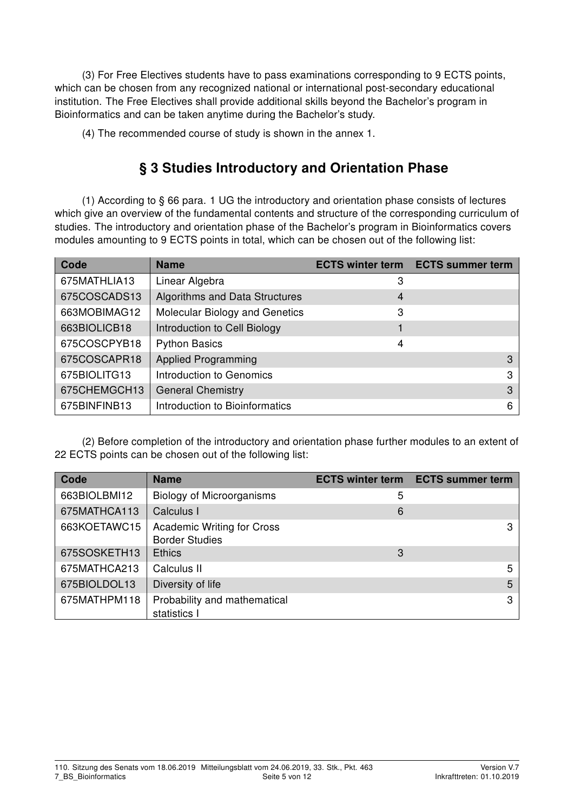(3) For Free Electives students have to pass examinations corresponding to 9 ECTS points, which can be chosen from any recognized national or international post-secondary educational institution. The Free Electives shall provide additional skills beyond the Bachelor's program in Bioinformatics and can be taken anytime during the Bachelor's study.

(4) The recommended course of study is shown in the annex 1.

# § 3 Studies Introductory and Orientation Phase

(1) According to § 66 para. 1 UG the introductory and orientation phase consists of lectures which give an overview of the fundamental contents and structure of the corresponding curriculum of studies. The introductory and orientation phase of the Bachelor's program in Bioinformatics covers modules amounting to 9 ECTS points in total, which can be chosen out of the following list:

| Code         | <b>Name</b>                    | <b>ECTS winter term</b> | <b>ECTS summer term</b> |
|--------------|--------------------------------|-------------------------|-------------------------|
| 675MATHLIA13 | Linear Algebra                 | 3                       |                         |
| 675COSCADS13 | Algorithms and Data Structures | 4                       |                         |
| 663MOBIMAG12 | Molecular Biology and Genetics | 3                       |                         |
| 663BIOLICB18 | Introduction to Cell Biology   |                         |                         |
| 675COSCPYB18 | <b>Python Basics</b>           | 4                       |                         |
| 675COSCAPR18 | <b>Applied Programming</b>     |                         | 3                       |
| 675BIOLITG13 | Introduction to Genomics       |                         | З                       |
| 675CHEMGCH13 | <b>General Chemistry</b>       |                         | 3                       |
| 675BINFINB13 | Introduction to Bioinformatics |                         | 6                       |

(2) Before completion of the introductory and orientation phase further modules to an extent of 22 ECTS points can be chosen out of the following list:

| Code         | <b>Name</b>                                                | <b>ECTS winter term</b> | <b>ECTS summer term</b> |
|--------------|------------------------------------------------------------|-------------------------|-------------------------|
| 663BIOLBMI12 | <b>Biology of Microorganisms</b>                           | 5                       |                         |
| 675MATHCA113 | Calculus I                                                 | 6                       |                         |
| 663KOETAWC15 | <b>Academic Writing for Cross</b><br><b>Border Studies</b> |                         | 3                       |
| 675SOSKETH13 | <b>Ethics</b>                                              | 3                       |                         |
| 675MATHCA213 | Calculus II                                                |                         | 5                       |
| 675BIOLDOL13 | Diversity of life                                          |                         | 5                       |
| 675MATHPM118 | Probability and mathematical<br>statistics I               |                         | З                       |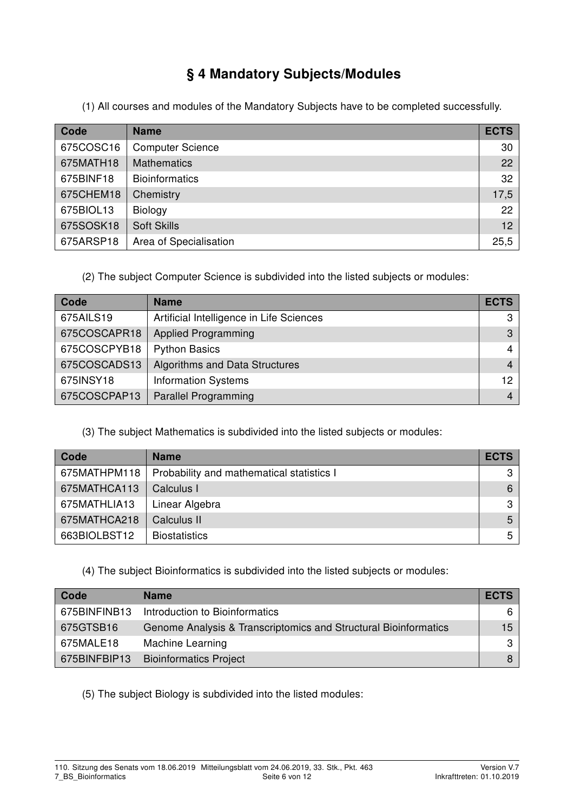# § 4 Mandatory Subjects/Modules

(1) All courses and modules of the Mandatory Subjects have to be completed successfully.

| Code      | <b>Name</b>             | <b>ECTS</b>     |
|-----------|-------------------------|-----------------|
| 675COSC16 | <b>Computer Science</b> | 30              |
| 675MATH18 | <b>Mathematics</b>      | 22              |
| 675BINF18 | <b>Bioinformatics</b>   | 32              |
| 675CHEM18 | Chemistry               | 17,5            |
| 675BIOL13 | Biology                 | 22              |
| 675SOSK18 | <b>Soft Skills</b>      | 12 <sup>7</sup> |
| 675ARSP18 | Area of Specialisation  | 25,5            |

(2) The subject Computer Science is subdivided into the listed subjects or modules:

| Code         | <b>Name</b>                              | <b>ECTS</b> |
|--------------|------------------------------------------|-------------|
| 675AILS19    | Artificial Intelligence in Life Sciences | З           |
| 675COSCAPR18 | <b>Applied Programming</b>               | 3           |
| 675COSCPYB18 | <b>Python Basics</b>                     | 4           |
| 675COSCADS13 | Algorithms and Data Structures           | 4           |
| 675INSY18    | <b>Information Systems</b>               | 12          |
| 675COSCPAP13 | <b>Parallel Programming</b>              |             |

#### (3) The subject Mathematics is subdivided into the listed subjects or modules:

| Code         | <b>Name</b>                               | <b>ECTS</b> |
|--------------|-------------------------------------------|-------------|
| 675MATHPM118 | Probability and mathematical statistics I | 3           |
| 675MATHCA113 | Calculus I                                | 6           |
| 675MATHLIA13 | Linear Algebra                            | 3           |
| 675MATHCA218 | Calculus II                               | 5           |
| 663BIOLBST12 | <b>Biostatistics</b>                      | 5           |

#### (4) The subject Bioinformatics is subdivided into the listed subjects or modules:

| Code         | <b>Name</b>                                                     | <b>ECTS</b>     |
|--------------|-----------------------------------------------------------------|-----------------|
| 675BINFINB13 | Introduction to Bioinformatics                                  | 6               |
| 675GTSB16    | Genome Analysis & Transcriptomics and Structural Bioinformatics | 15 <sup>1</sup> |
| 675MALE18    | <b>Machine Learning</b>                                         | $\mathbf{3}$    |
| 675BINFBIP13 | <b>Bioinformatics Project</b>                                   |                 |

(5) The subject Biology is subdivided into the listed modules: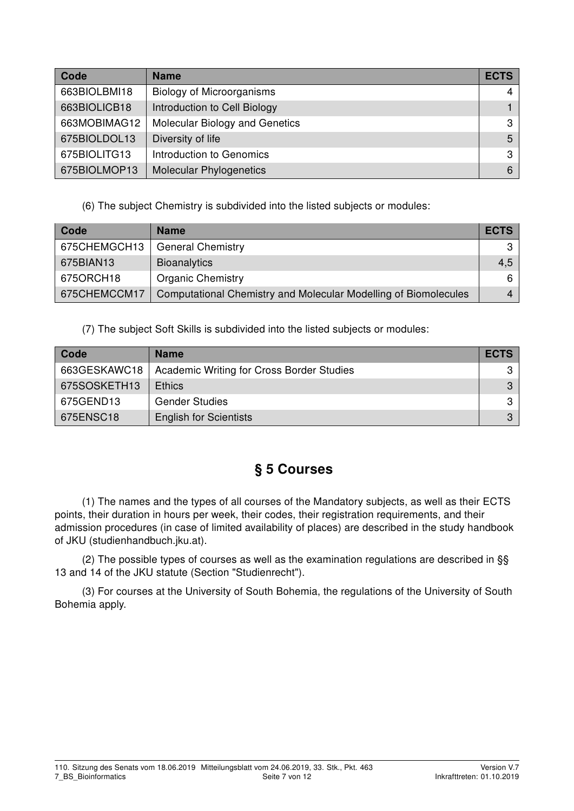| Code         | <b>Name</b>                      | <b>ECTS</b>  |
|--------------|----------------------------------|--------------|
| 663BIOLBMI18 | <b>Biology of Microorganisms</b> | 4            |
| 663BIOLICB18 | Introduction to Cell Biology     |              |
| 663MOBIMAG12 | Molecular Biology and Genetics   | 3            |
| 675BIOLDOL13 | Diversity of life                | 5            |
| 675BIOLITG13 | Introduction to Genomics         | $\mathbf{3}$ |
| 675BIOLMOP13 | <b>Molecular Phylogenetics</b>   | 6            |

(6) The subject Chemistry is subdivided into the listed subjects or modules:

| Code         | <b>Name</b>                                                     | <b>ECTS</b> |
|--------------|-----------------------------------------------------------------|-------------|
| 675CHEMGCH13 | <b>General Chemistry</b>                                        |             |
| 675BIAN13    | Bioanalytics                                                    | 4,5         |
| 675ORCH18    | <b>Organic Chemistry</b>                                        | 6           |
| 675CHEMCCM17 | Computational Chemistry and Molecular Modelling of Biomolecules | 4           |

(7) The subject Soft Skills is subdivided into the listed subjects or modules:

| Code         | <b>Name</b>                               | <b>ECTS</b> |
|--------------|-------------------------------------------|-------------|
| 663GESKAWC18 | Academic Writing for Cross Border Studies |             |
| 675SOSKETH13 | <b>Ethics</b>                             | 3           |
| 675GEND13    | <b>Gender Studies</b>                     | 31          |
| 675ENSC18    | <b>English for Scientists</b>             | 3           |

# § 5 Courses

(1) The names and the types of all courses of the Mandatory subjects, as well as their ECTS points, their duration in hours per week, their codes, their registration requirements, and their admission procedures (in case of limited availability of places) are described in the study handbook of JKU (studienhandbuch.jku.at).

(2) The possible types of courses as well as the examination regulations are described in §§ 13 and 14 of the JKU statute (Section "Studienrecht").

(3) For courses at the University of South Bohemia, the regulations of the University of South Bohemia apply.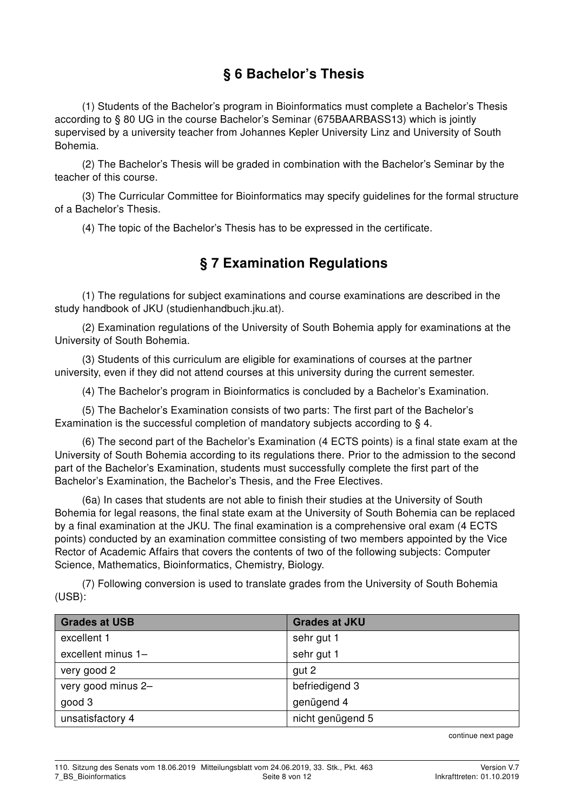# § 6 Bachelor's Thesis

(1) Students of the Bachelor's program in Bioinformatics must complete a Bachelor's Thesis according to § 80 UG in the course Bachelor's Seminar (675BAARBASS13) which is jointly supervised by a university teacher from Johannes Kepler University Linz and University of South Bohemia.

(2) The Bachelor's Thesis will be graded in combination with the Bachelor's Seminar by the teacher of this course.

(3) The Curricular Committee for Bioinformatics may specify guidelines for the formal structure of a Bachelor's Thesis.

(4) The topic of the Bachelor's Thesis has to be expressed in the certificate.

# § 7 Examination Regulations

(1) The regulations for subject examinations and course examinations are described in the study handbook of JKU (studienhandbuch.jku.at).

(2) Examination regulations of the University of South Bohemia apply for examinations at the University of South Bohemia.

(3) Students of this curriculum are eligible for examinations of courses at the partner university, even if they did not attend courses at this university during the current semester.

(4) The Bachelor's program in Bioinformatics is concluded by a Bachelor's Examination.

(5) The Bachelor's Examination consists of two parts: The first part of the Bachelor's Examination is the successful completion of mandatory subjects according to § 4.

(6) The second part of the Bachelor's Examination (4 ECTS points) is a final state exam at the University of South Bohemia according to its regulations there. Prior to the admission to the second part of the Bachelor's Examination, students must successfully complete the first part of the Bachelor's Examination, the Bachelor's Thesis, and the Free Electives.

(6a) In cases that students are not able to finish their studies at the University of South Bohemia for legal reasons, the final state exam at the University of South Bohemia can be replaced by a final examination at the JKU. The final examination is a comprehensive oral exam (4 ECTS points) conducted by an examination committee consisting of two members appointed by the Vice Rector of Academic Affairs that covers the contents of two of the following subjects: Computer Science, Mathematics, Bioinformatics, Chemistry, Biology.

(7) Following conversion is used to translate grades from the University of South Bohemia (USB):

| <b>Grades at USB</b> | <b>Grades at JKU</b> |
|----------------------|----------------------|
| excellent 1          | sehr gut 1           |
| excellent minus 1-   | sehr gut 1           |
| very good 2          | gut 2                |
| very good minus 2-   | befriedigend 3       |
| good 3               | genügend 4           |
| unsatisfactory 4     | nicht genügend 5     |

continue next page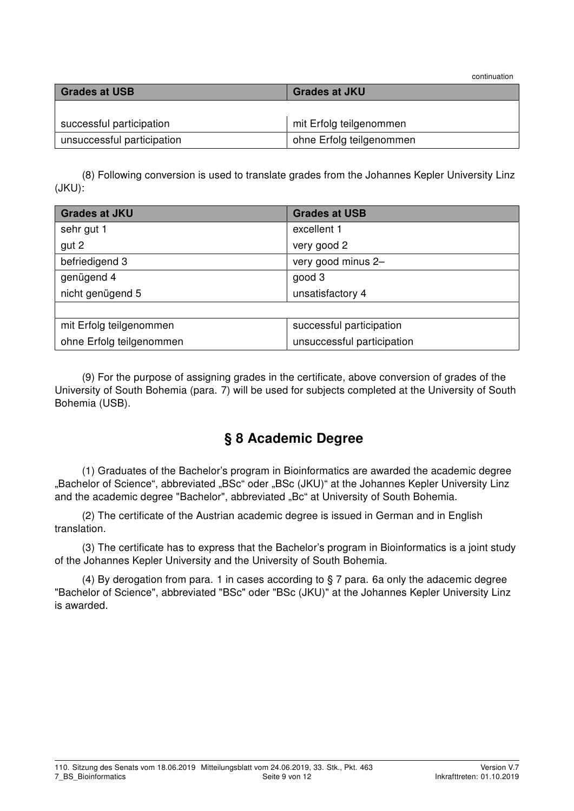continuation

| <b>Grades at USB</b>       | <b>Grades at JKU</b>     |  |  |  |  |
|----------------------------|--------------------------|--|--|--|--|
|                            |                          |  |  |  |  |
| successful participation   | mit Erfolg teilgenommen  |  |  |  |  |
| unsuccessful participation | ohne Erfolg teilgenommen |  |  |  |  |

(8) Following conversion is used to translate grades from the Johannes Kepler University Linz (JKU):

| <b>Grades at JKU</b>     | <b>Grades at USB</b>       |  |  |  |  |
|--------------------------|----------------------------|--|--|--|--|
| sehr gut 1               | excellent 1                |  |  |  |  |
| gut 2                    | very good 2                |  |  |  |  |
| befriedigend 3           | very good minus 2-         |  |  |  |  |
| genügend 4               | good 3                     |  |  |  |  |
| nicht genügend 5         | unsatisfactory 4           |  |  |  |  |
|                          |                            |  |  |  |  |
| mit Erfolg teilgenommen  | successful participation   |  |  |  |  |
| ohne Erfolg teilgenommen | unsuccessful participation |  |  |  |  |

(9) For the purpose of assigning grades in the certificate, above conversion of grades of the University of South Bohemia (para. 7) will be used for subjects completed at the University of South Bohemia (USB).

## § 8 Academic Degree

(1) Graduates of the Bachelor's program in Bioinformatics are awarded the academic degree "Bachelor of Science", abbreviated "BSc" oder "BSc (JKU)" at the Johannes Kepler University Linz and the academic degree "Bachelor", abbreviated "Bc" at University of South Bohemia.

(2) The certificate of the Austrian academic degree is issued in German and in English translation.

(3) The certificate has to express that the Bachelor's program in Bioinformatics is a joint study of the Johannes Kepler University and the University of South Bohemia.

(4) By derogation from para. 1 in cases according to § 7 para. 6a only the adacemic degree "Bachelor of Science", abbreviated "BSc" oder "BSc (JKU)" at the Johannes Kepler University Linz is awarded.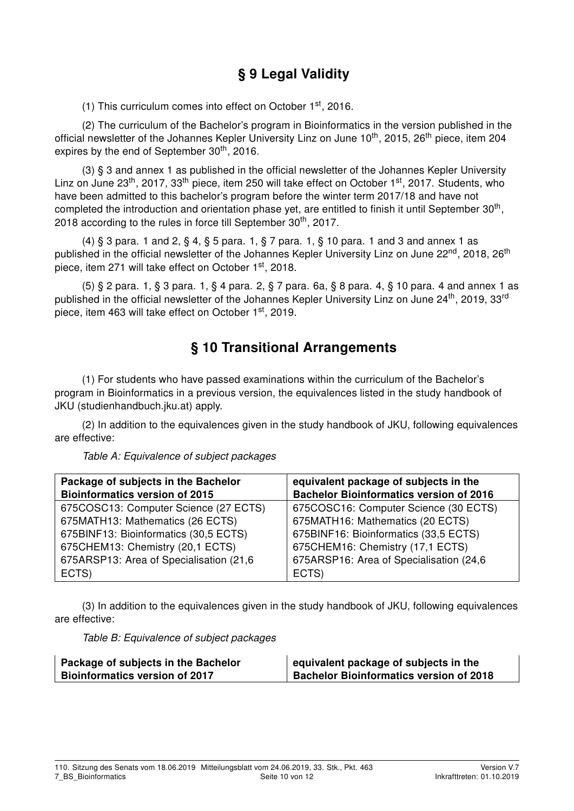# § 9 Legal Validity

(1) This curriculum comes into effect on October  $1<sup>st</sup>$ , 2016.

(2) The curriculum of the Bachelor's program in Bioinformatics in the version published in the official newsletter of the Johannes Kepler University Linz on June 10<sup>th</sup>, 2015, 26<sup>th</sup> piece, item 204 expires by the end of September 30<sup>th</sup>, 2016.

(3) § 3 and annex 1 as published in the official newsletter of the Johannes Kepler University Linz on June 23<sup>th</sup>, 2017, 33<sup>th</sup> piece, item 250 will take effect on October 1<sup>st</sup>, 2017. Students, who have been admitted to this bachelor's program before the winter term 2017/18 and have not completed the introduction and orientation phase yet, are entitled to finish it until September 30<sup>th</sup>, 2018 according to the rules in force till September  $30<sup>th</sup>$ , 2017.

(4) § 3 para. 1 and 2, § 4, § 5 para. 1, § 7 para. 1, § 10 para. 1 and 3 and annex 1 as published in the official newsletter of the Johannes Kepler University Linz on June 22<sup>nd</sup>, 2018, 26<sup>th</sup> piece, item 271 will take effect on October 1<sup>st</sup>, 2018.

(5) § 2 para. 1, § 3 para. 1, § 4 para. 2, § 7 para. 6a, § 8 para. 4, § 10 para. 4 and annex 1 as published in the official newsletter of the Johannes Kepler University Linz on June 24<sup>th</sup>, 2019, 33<sup>rd</sup> piece, item 463 will take effect on October 1<sup>st</sup>, 2019.

## § 10 Transitional Arrangements

(1) For students who have passed examinations within the curriculum of the Bachelor's program in Bioinformatics in a previous version, the equivalences listed in the study handbook of JKU (studienhandbuch.jku.at) apply.

(2) In addition to the equivalences given in the study handbook of JKU, following equivalences are effective:

| Package of subjects in the Bachelor<br><b>Bioinformatics version of 2015</b> | equivalent package of subjects in the<br><b>Bachelor Bioinformatics version of 2016</b> |
|------------------------------------------------------------------------------|-----------------------------------------------------------------------------------------|
| 675COSC13: Computer Science (27 ECTS)                                        | 675COSC16: Computer Science (30 ECTS)                                                   |
| 675MATH13: Mathematics (26 ECTS)<br>675BINF13: Bioinformatics (30,5 ECTS)    | 675MATH16: Mathematics (20 ECTS)<br>675BINF16: Bioinformatics (33,5 ECTS)               |
| 675CHEM13: Chemistry (20,1 ECTS)                                             | 675CHEM16: Chemistry (17,1 ECTS)                                                        |
| 675ARSP13: Area of Specialisation (21,6)                                     | 675ARSP16: Area of Specialisation (24,6)                                                |
| ECTS)                                                                        | ECTS)                                                                                   |

Table A: Equivalence of subject packages

(3) In addition to the equivalences given in the study handbook of JKU, following equivalences are effective:

Table B: Equivalence of subject packages

| Package of subjects in the Bachelor   | equivalent package of subjects in the          |  |  |  |  |  |
|---------------------------------------|------------------------------------------------|--|--|--|--|--|
| <b>Bioinformatics version of 2017</b> | <b>Bachelor Bioinformatics version of 2018</b> |  |  |  |  |  |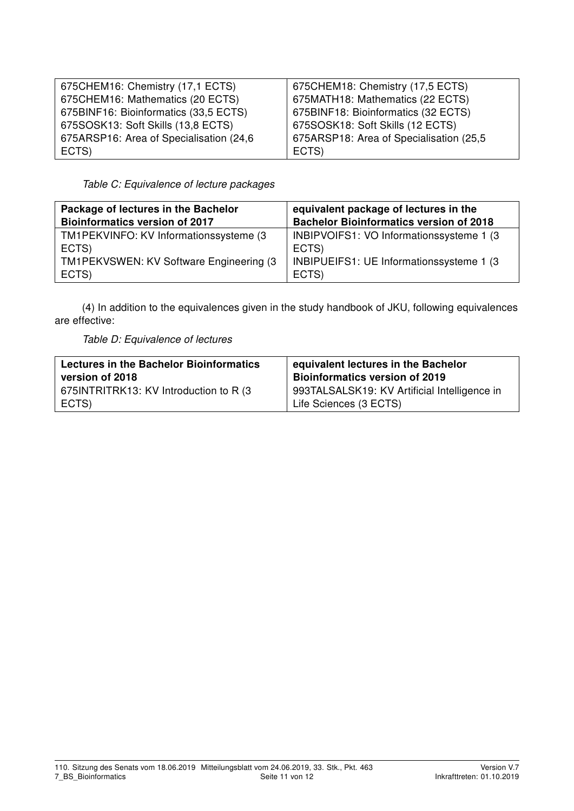| 675CHEM16: Chemistry (17,1 ECTS)         | 675CHEM18: Chemistry (17,5 ECTS)         |
|------------------------------------------|------------------------------------------|
| 675CHEM16: Mathematics (20 ECTS)         | 675MATH18: Mathematics (22 ECTS)         |
| 675BINF16: Bioinformatics (33,5 ECTS)    | 675BINF18: Bioinformatics (32 ECTS)      |
| 675SOSK13: Soft Skills (13,8 ECTS)       | 675SOSK18: Soft Skills (12 ECTS)         |
| 675ARSP16: Area of Specialisation (24,6) | 675ARSP18: Area of Specialisation (25,5) |
| ECTS)                                    | ECTS)                                    |

Table C: Equivalence of lecture packages

| Package of lectures in the Bachelor     | equivalent package of lectures in the          |  |  |  |  |  |
|-----------------------------------------|------------------------------------------------|--|--|--|--|--|
| <b>Bioinformatics version of 2017</b>   | <b>Bachelor Bioinformatics version of 2018</b> |  |  |  |  |  |
| TM1PEKVINFO: KV Informationssysteme (3) | INBIPVOIFS1: VO Informationssysteme 1 (3)      |  |  |  |  |  |
| ECTS)                                   | ECTS)                                          |  |  |  |  |  |
| TM1PEKVSWEN: KV Software Engineering (3 | INBIPUEIFS1: UE Informationssysteme 1 (3)      |  |  |  |  |  |
| ECTS)                                   | ECTS)                                          |  |  |  |  |  |

(4) In addition to the equivalences given in the study handbook of JKU, following equivalences are effective:

#### Table D: Equivalence of lectures

| <b>Lectures in the Bachelor Bioinformatics</b> | equivalent lectures in the Bachelor          |  |  |  |  |
|------------------------------------------------|----------------------------------------------|--|--|--|--|
| version of 2018                                | <b>Bioinformatics version of 2019</b>        |  |  |  |  |
| 675INTRITRK13: KV Introduction to R (3)        | 993TALSALSK19: KV Artificial Intelligence in |  |  |  |  |
| ECTS)                                          | Life Sciences (3 ECTS)                       |  |  |  |  |